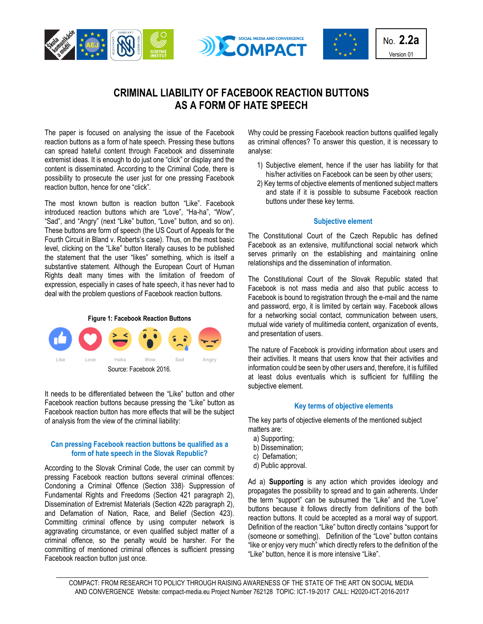





No. **2.2a** Version 01

# **CRIMINAL LIABILITY OF FACEBOOK REACTION BUTTONS AS A FORM OF HATE SPEECH**

The paper is focused on analysing the issue of the Facebook reaction buttons as a form of hate speech. Pressing these buttons can spread hateful content through Facebook and disseminate extremist ideas. It is enough to do just one "click" or display and the content is disseminated. According to the Criminal Code, there is possibility to prosecute the user just for one pressing Facebook reaction button, hence for one "click".

The most known button is reaction button "Like". Facebook introduced reaction buttons which are "Love", "Ha-ha", "Wow", "Sad", and "Angry" (next "Like" button, "Love" button, and so on). These buttons are form of speech (the US Court of Appeals for the Fourth Circuit in Bland v. Roberts's case). Thus, on the most basic level, clicking on the "Like" button literally causes to be published the statement that the user "likes" something, which is itself a substantive statement. Although the European Court of Human Rights dealt many times with the limitation of freedom of expression, especially in cases of hate speech, it has never had to deal with the problem questions of Facebook reaction buttons.





It needs to be differentiated between the "Like" button and other Facebook reaction buttons because pressing the "Like" button as Facebook reaction button has more effects that will be the subject of analysis from the view of the criminal liability:

## **Can pressing Facebook reaction buttons be qualified as a form of hate speech in the Slovak Republic?**

According to the Slovak Criminal Code, the user can commit by pressing Facebook reaction buttons several criminal offences: Condoning a Criminal Offence (Section 338), Suppression of Fundamental Rights and Freedoms (Section 421 paragraph 2), Dissemination of Extremist Materials (Section 422b paragraph 2), and Defamation of Nation, Race, and Belief (Section 423). Committing criminal offence by using computer network is aggravating circumstance, or even qualified subject matter of a criminal offence, so the penalty would be harsher. For the committing of mentioned criminal offences is sufficient pressing Facebook reaction button just once.

Why could be pressing Facebook reaction buttons qualified legally as criminal offences? To answer this question, it is necessary to analyse:

- 1) Subjective element, hence if the user has liability for that his/her activities on Facebook can be seen by other users;
- 2) Key terms of objective elements of mentioned subject matters and state if it is possible to subsume Facebook reaction buttons under these key terms.

### **Subjective element**

The Constitutional Court of the Czech Republic has defined Facebook as an extensive, multifunctional social network which serves primarily on the establishing and maintaining online relationships and the dissemination of information.

The Constitutional Court of the Slovak Republic stated that Facebook is not mass media and also that public access to Facebook is bound to registration through the e-mail and the name and password, ergo, it is limited by certain way. Facebook allows for a networking social contact, communication between users, mutual wide variety of mulitimedia content, organization of events, and presentation of users.

The nature of Facebook is providing information about users and their activities. It means that users know that their activities and information could be seen by other users and, therefore, it is fulfilled at least dolus eventualis which is sufficient for fulfilling the subjective element.

### **Key terms of objective elements**

The key parts of objective elements of the mentioned subject matters are:

- a) Supporting;
- b) Dissemination;
- c) Defamation;
- d) Public approval.

Ad a) **Supporting** is any action which provides ideology and propagates the possibility to spread and to gain adherents. Under the term "support" can be subsumed the "Like" and the "Love" buttons because it follows directly from definitions of the both reaction buttons. It could be accepted as a moral way of support. Definition of the reaction "Like" button directly contains "support for (someone or something). Definition of the "Love" button contains "like or enjoy very much" which directly refers to the definition of the "Like" button, hence it is more intensive "Like".